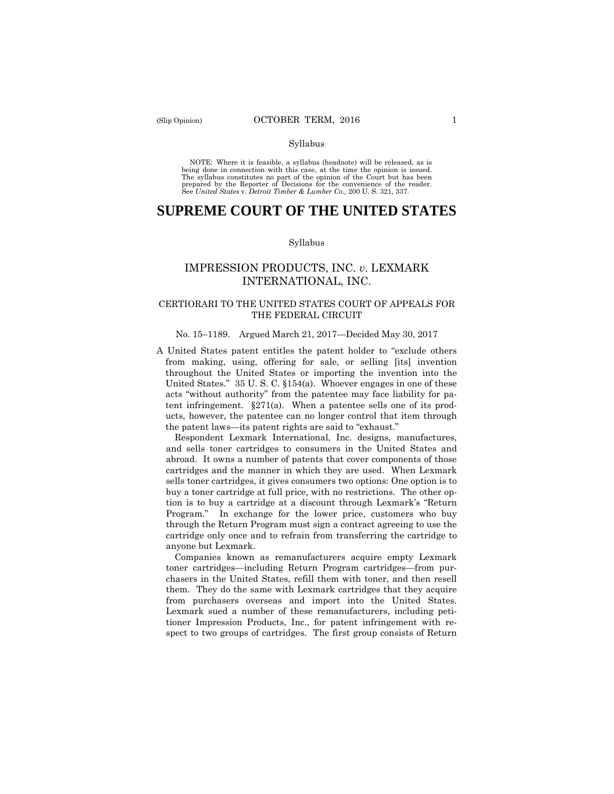NOTE: Where it is feasible, a syllabus (headnote) will be released, as is being done in connection with this case, at the time the opinion is issued. The syllabus constitutes no part of the opinion of the Court but has been<br>prepared by the Reporter of Decisions for the convenience of the reader.<br>See United States v. Detroit Timber & Lumber Co., 200 U.S. 321, 337.

# **SUPREME COURT OF THE UNITED STATES**

#### Syllabus

# IMPRESSION PRODUCTS, INC. *v*. LEXMARK INTERNATIONAL, INC.

### CERTIORARI TO THE UNITED STATES COURT OF APPEALS FOR THE FEDERAL CIRCUIT

#### No. 15–1189. Argued March 21, 2017—Decided May 30, 2017

A United States patent entitles the patent holder to "exclude others from making, using, offering for sale, or selling [its] invention throughout the United States or importing the invention into the United States." 35 U. S. C. §154(a). Whoever engages in one of these acts "without authority" from the patentee may face liability for patent infringement.  $\S 271(a)$ . When a patentee sells one of its products, however, the patentee can no longer control that item through the patent laws—its patent rights are said to "exhaust."

Respondent Lexmark International, Inc. designs, manufactures, and sells toner cartridges to consumers in the United States and abroad. It owns a number of patents that cover components of those cartridges and the manner in which they are used. When Lexmark sells toner cartridges, it gives consumers two options: One option is to buy a toner cartridge at full price, with no restrictions. The other option is to buy a cartridge at a discount through Lexmark's "Return Program." In exchange for the lower price, customers who buy through the Return Program must sign a contract agreeing to use the cartridge only once and to refrain from transferring the cartridge to anyone but Lexmark.

Companies known as remanufacturers acquire empty Lexmark toner cartridges—including Return Program cartridges—from purchasers in the United States, refill them with toner, and then resell them. They do the same with Lexmark cartridges that they acquire from purchasers overseas and import into the United States. Lexmark sued a number of these remanufacturers, including petitioner Impression Products, Inc., for patent infringement with respect to two groups of cartridges. The first group consists of Return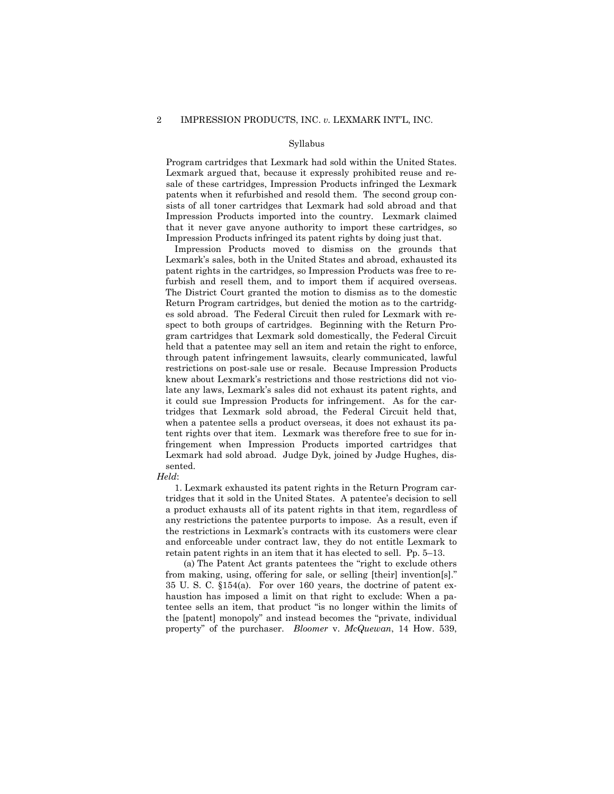Program cartridges that Lexmark had sold within the United States. Lexmark argued that, because it expressly prohibited reuse and resale of these cartridges, Impression Products infringed the Lexmark patents when it refurbished and resold them. The second group consists of all toner cartridges that Lexmark had sold abroad and that Impression Products imported into the country. Lexmark claimed that it never gave anyone authority to import these cartridges, so Impression Products infringed its patent rights by doing just that.

Impression Products moved to dismiss on the grounds that Lexmark's sales, both in the United States and abroad, exhausted its patent rights in the cartridges, so Impression Products was free to refurbish and resell them, and to import them if acquired overseas. The District Court granted the motion to dismiss as to the domestic Return Program cartridges, but denied the motion as to the cartridges sold abroad. The Federal Circuit then ruled for Lexmark with respect to both groups of cartridges. Beginning with the Return Program cartridges that Lexmark sold domestically, the Federal Circuit held that a patentee may sell an item and retain the right to enforce, through patent infringement lawsuits, clearly communicated, lawful restrictions on post-sale use or resale. Because Impression Products knew about Lexmark's restrictions and those restrictions did not violate any laws, Lexmark's sales did not exhaust its patent rights, and it could sue Impression Products for infringement. As for the cartridges that Lexmark sold abroad, the Federal Circuit held that, when a patentee sells a product overseas, it does not exhaust its patent rights over that item. Lexmark was therefore free to sue for infringement when Impression Products imported cartridges that Lexmark had sold abroad. Judge Dyk, joined by Judge Hughes, dissented.

#### *Held*:

1. Lexmark exhausted its patent rights in the Return Program cartridges that it sold in the United States. A patentee's decision to sell a product exhausts all of its patent rights in that item, regardless of any restrictions the patentee purports to impose. As a result, even if the restrictions in Lexmark's contracts with its customers were clear and enforceable under contract law, they do not entitle Lexmark to retain patent rights in an item that it has elected to sell. Pp. 5–13.

(a) The Patent Act grants patentees the "right to exclude others from making, using, offering for sale, or selling [their] invention[s]." 35 U. S. C. §154(a). For over 160 years, the doctrine of patent exhaustion has imposed a limit on that right to exclude: When a patentee sells an item, that product "is no longer within the limits of the [patent] monopoly" and instead becomes the "private, individual property" of the purchaser. *Bloomer* v. *McQuewan*, 14 How. 539,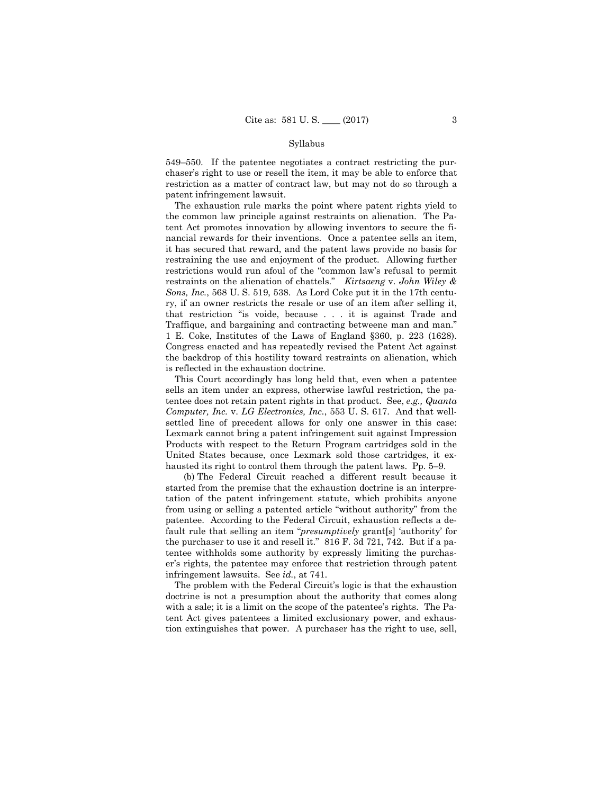549–550. If the patentee negotiates a contract restricting the purchaser's right to use or resell the item, it may be able to enforce that restriction as a matter of contract law, but may not do so through a patent infringement lawsuit.

The exhaustion rule marks the point where patent rights yield to the common law principle against restraints on alienation. The Patent Act promotes innovation by allowing inventors to secure the financial rewards for their inventions. Once a patentee sells an item, it has secured that reward, and the patent laws provide no basis for restraining the use and enjoyment of the product. Allowing further restrictions would run afoul of the "common law's refusal to permit restraints on the alienation of chattels." *Kirtsaeng* v. *John Wiley & Sons, Inc.*, 568 U. S. 519, 538. As Lord Coke put it in the 17th century, if an owner restricts the resale or use of an item after selling it, that restriction "is voide, because . . . it is against Trade and Traffique, and bargaining and contracting betweene man and man." 1 E. Coke, Institutes of the Laws of England §360, p. 223 (1628). Congress enacted and has repeatedly revised the Patent Act against the backdrop of this hostility toward restraints on alienation, which is reflected in the exhaustion doctrine.

This Court accordingly has long held that, even when a patentee sells an item under an express, otherwise lawful restriction, the patentee does not retain patent rights in that product. See, *e.g., Quanta Computer, Inc.* v. *LG Electronics, Inc.*, 553 U. S. 617. And that wellsettled line of precedent allows for only one answer in this case: Lexmark cannot bring a patent infringement suit against Impression Products with respect to the Return Program cartridges sold in the United States because, once Lexmark sold those cartridges, it exhausted its right to control them through the patent laws. Pp. 5–9.

(b) The Federal Circuit reached a different result because it started from the premise that the exhaustion doctrine is an interpretation of the patent infringement statute, which prohibits anyone from using or selling a patented article "without authority" from the patentee. According to the Federal Circuit, exhaustion reflects a default rule that selling an item "*presumptively* grant[s] 'authority' for the purchaser to use it and resell it." 816 F. 3d 721, 742. But if a patentee withholds some authority by expressly limiting the purchaser's rights, the patentee may enforce that restriction through patent infringement lawsuits. See *id.*, at 741.

The problem with the Federal Circuit's logic is that the exhaustion doctrine is not a presumption about the authority that comes along with a sale; it is a limit on the scope of the patentee's rights. The Patent Act gives patentees a limited exclusionary power, and exhaustion extinguishes that power. A purchaser has the right to use, sell,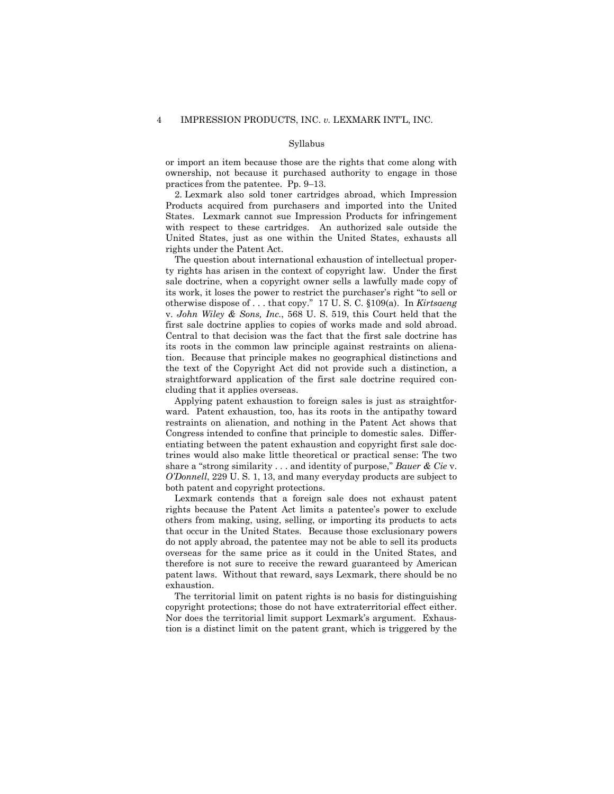or import an item because those are the rights that come along with ownership, not because it purchased authority to engage in those practices from the patentee. Pp. 9–13.

2. Lexmark also sold toner cartridges abroad, which Impression Products acquired from purchasers and imported into the United States. Lexmark cannot sue Impression Products for infringement with respect to these cartridges. An authorized sale outside the United States, just as one within the United States, exhausts all rights under the Patent Act.

The question about international exhaustion of intellectual property rights has arisen in the context of copyright law. Under the first sale doctrine, when a copyright owner sells a lawfully made copy of its work, it loses the power to restrict the purchaser's right "to sell or otherwise dispose of . . . that copy." 17 U. S. C. §109(a). In *Kirtsaeng*  v. *John Wiley & Sons, Inc.*, 568 U. S. 519, this Court held that the first sale doctrine applies to copies of works made and sold abroad. Central to that decision was the fact that the first sale doctrine has its roots in the common law principle against restraints on alienation. Because that principle makes no geographical distinctions and the text of the Copyright Act did not provide such a distinction, a straightforward application of the first sale doctrine required concluding that it applies overseas.

 Applying patent exhaustion to foreign sales is just as straightforward. Patent exhaustion, too, has its roots in the antipathy toward restraints on alienation, and nothing in the Patent Act shows that Congress intended to confine that principle to domestic sales. Differentiating between the patent exhaustion and copyright first sale doctrines would also make little theoretical or practical sense: The two share a "strong similarity . . . and identity of purpose," *Bauer & Cie* v. *O'Donnell*, 229 U. S. 1, 13, and many everyday products are subject to both patent and copyright protections.

Lexmark contends that a foreign sale does not exhaust patent rights because the Patent Act limits a patentee's power to exclude others from making, using, selling, or importing its products to acts that occur in the United States. Because those exclusionary powers do not apply abroad, the patentee may not be able to sell its products overseas for the same price as it could in the United States, and therefore is not sure to receive the reward guaranteed by American patent laws. Without that reward, says Lexmark, there should be no exhaustion.

 copyright protections; those do not have extraterritorial effect either. The territorial limit on patent rights is no basis for distinguishing Nor does the territorial limit support Lexmark's argument. Exhaustion is a distinct limit on the patent grant, which is triggered by the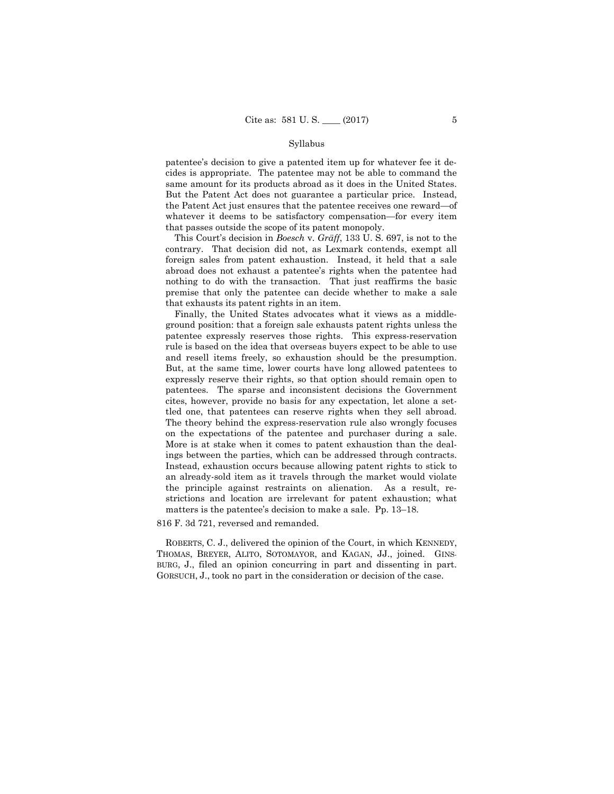patentee's decision to give a patented item up for whatever fee it decides is appropriate. The patentee may not be able to command the same amount for its products abroad as it does in the United States. But the Patent Act does not guarantee a particular price. Instead, the Patent Act just ensures that the patentee receives one reward—of whatever it deems to be satisfactory compensation—for every item that passes outside the scope of its patent monopoly.

 This Court's decision in *Boesch* v. *Gräff*, 133 U. S. 697, is not to the contrary. That decision did not, as Lexmark contends, exempt all foreign sales from patent exhaustion. Instead, it held that a sale abroad does not exhaust a patentee's rights when the patentee had nothing to do with the transaction. That just reaffirms the basic premise that only the patentee can decide whether to make a sale that exhausts its patent rights in an item.

 and resell items freely, so exhaustion should be the presumption. tled one, that patentees can reserve rights when they sell abroad. ings between the parties, which can be addressed through contracts. Finally, the United States advocates what it views as a middleground position: that a foreign sale exhausts patent rights unless the patentee expressly reserves those rights. This express-reservation rule is based on the idea that overseas buyers expect to be able to use But, at the same time, lower courts have long allowed patentees to expressly reserve their rights, so that option should remain open to patentees. The sparse and inconsistent decisions the Government cites, however, provide no basis for any expectation, let alone a set-The theory behind the express-reservation rule also wrongly focuses on the expectations of the patentee and purchaser during a sale. More is at stake when it comes to patent exhaustion than the deal-Instead, exhaustion occurs because allowing patent rights to stick to an already-sold item as it travels through the market would violate the principle against restraints on alienation. As a result, restrictions and location are irrelevant for patent exhaustion; what matters is the patentee's decision to make a sale. Pp. 13–18.

816 F. 3d 721, reversed and remanded.

 THOMAS, BREYER, ALITO, SOTOMAYOR, and KAGAN, JJ., joined. GINS- BURG, J., filed an opinion concurring in part and dissenting in part. GORSUCH, J., took no part in the consideration or decision of the case. GORSUCH, J., took no part in the consideration or decision of the case. ROBERTS, C. J., delivered the opinion of the Court, in which KENNEDY,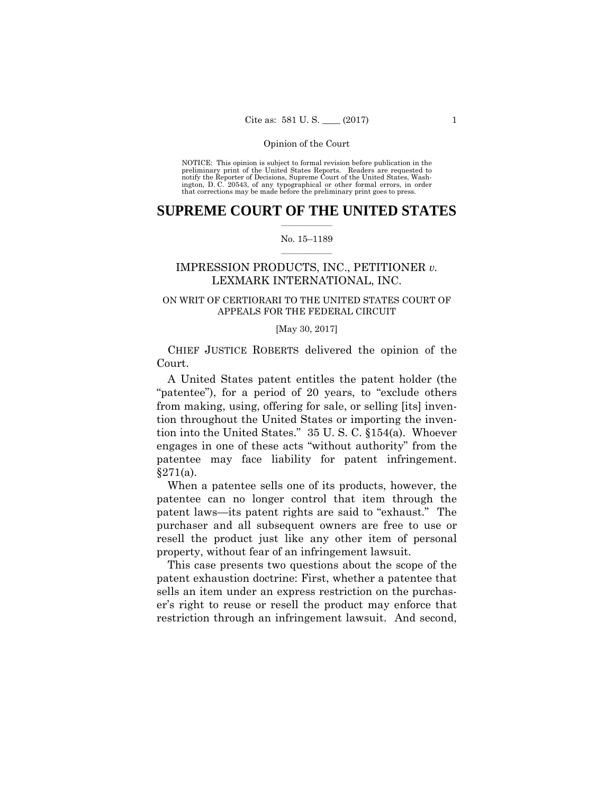preliminary print of the United States Reports. Readers are requested to notify the Reporter of Decisions, Supreme Court of the United States, Wash- ington, D. C. 20543, of any typographical or other formal errors, in order that corrections may be made before the preliminary print goes to press. NOTICE: This opinion is subject to formal revision before publication in the

### $\frac{1}{2}$  , where  $\frac{1}{2}$ **SUPREME COURT OF THE UNITED STATES**

#### $\frac{1}{2}$  ,  $\frac{1}{2}$  ,  $\frac{1}{2}$  ,  $\frac{1}{2}$  ,  $\frac{1}{2}$  ,  $\frac{1}{2}$ No. 15–1189

# IMPRESSION PRODUCTS, INC., PETITIONER *v.*  LEXMARK INTERNATIONAL, INC.

# ON WRIT OF CERTIORARI TO THE UNITED STATES COURT OF APPEALS FOR THE FEDERAL CIRCUIT

#### [May 30, 2017]

CHIEF JUSTICE ROBERTS delivered the opinion of the Court.

A United States patent entitles the patent holder (the "patentee"), for a period of 20 years, to "exclude others from making, using, offering for sale, or selling [its] invention throughout the United States or importing the invention into the United States." 35 U. S. C. §154(a). Whoever engages in one of these acts "without authority" from the patentee may face liability for patent infringement. §271(a).

When a patentee sells one of its products, however, the patentee can no longer control that item through the patent laws—its patent rights are said to "exhaust." The purchaser and all subsequent owners are free to use or resell the product just like any other item of personal property, without fear of an infringement lawsuit.

This case presents two questions about the scope of the patent exhaustion doctrine: First, whether a patentee that sells an item under an express restriction on the purchaser's right to reuse or resell the product may enforce that restriction through an infringement lawsuit. And second,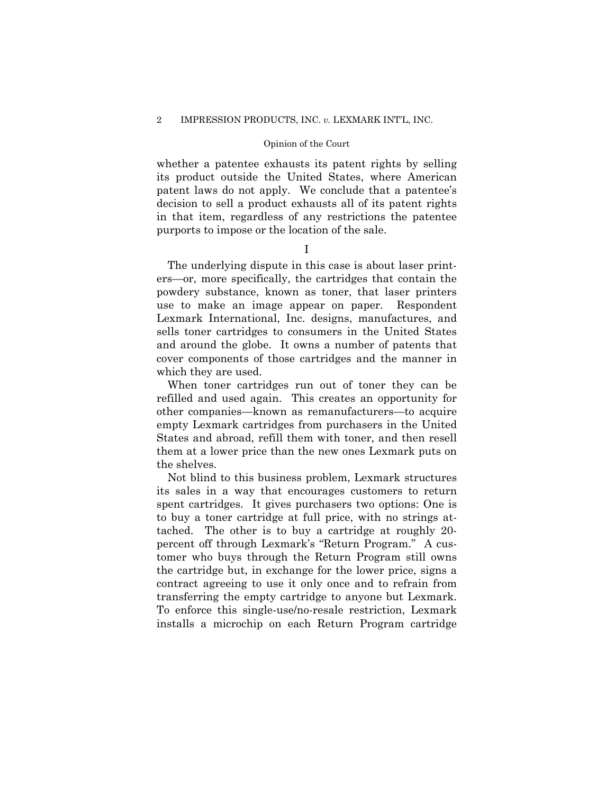whether a patentee exhausts its patent rights by selling its product outside the United States, where American patent laws do not apply. We conclude that a patentee's decision to sell a product exhausts all of its patent rights in that item, regardless of any restrictions the patentee purports to impose or the location of the sale.

I

The underlying dispute in this case is about laser printers—or, more specifically, the cartridges that contain the powdery substance, known as toner, that laser printers use to make an image appear on paper. Respondent Lexmark International, Inc. designs, manufactures, and sells toner cartridges to consumers in the United States and around the globe. It owns a number of patents that cover components of those cartridges and the manner in which they are used.

When toner cartridges run out of toner they can be refilled and used again. This creates an opportunity for other companies—known as remanufacturers—to acquire empty Lexmark cartridges from purchasers in the United States and abroad, refill them with toner, and then resell them at a lower price than the new ones Lexmark puts on the shelves.

Not blind to this business problem, Lexmark structures its sales in a way that encourages customers to return spent cartridges. It gives purchasers two options: One is to buy a toner cartridge at full price, with no strings attached. The other is to buy a cartridge at roughly 20 percent off through Lexmark's "Return Program." A customer who buys through the Return Program still owns the cartridge but, in exchange for the lower price, signs a contract agreeing to use it only once and to refrain from transferring the empty cartridge to anyone but Lexmark. To enforce this single-use/no-resale restriction, Lexmark installs a microchip on each Return Program cartridge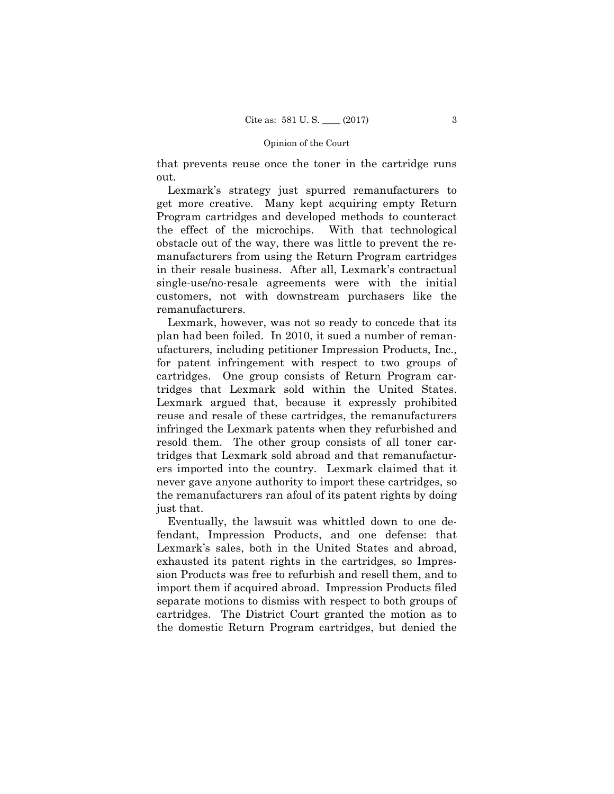that prevents reuse once the toner in the cartridge runs out.

Lexmark's strategy just spurred remanufacturers to get more creative. Many kept acquiring empty Return Program cartridges and developed methods to counteract the effect of the microchips. With that technological obstacle out of the way, there was little to prevent the remanufacturers from using the Return Program cartridges in their resale business. After all, Lexmark's contractual single-use/no-resale agreements were with the initial customers, not with downstream purchasers like the remanufacturers.

Lexmark, however, was not so ready to concede that its plan had been foiled. In 2010, it sued a number of remanufacturers, including petitioner Impression Products, Inc., for patent infringement with respect to two groups of cartridges. One group consists of Return Program cartridges that Lexmark sold within the United States. Lexmark argued that, because it expressly prohibited reuse and resale of these cartridges, the remanufacturers infringed the Lexmark patents when they refurbished and resold them. The other group consists of all toner cartridges that Lexmark sold abroad and that remanufacturers imported into the country. Lexmark claimed that it never gave anyone authority to import these cartridges, so the remanufacturers ran afoul of its patent rights by doing just that.

Eventually, the lawsuit was whittled down to one defendant, Impression Products, and one defense: that Lexmark's sales, both in the United States and abroad, exhausted its patent rights in the cartridges, so Impression Products was free to refurbish and resell them, and to import them if acquired abroad. Impression Products filed separate motions to dismiss with respect to both groups of cartridges. The District Court granted the motion as to the domestic Return Program cartridges, but denied the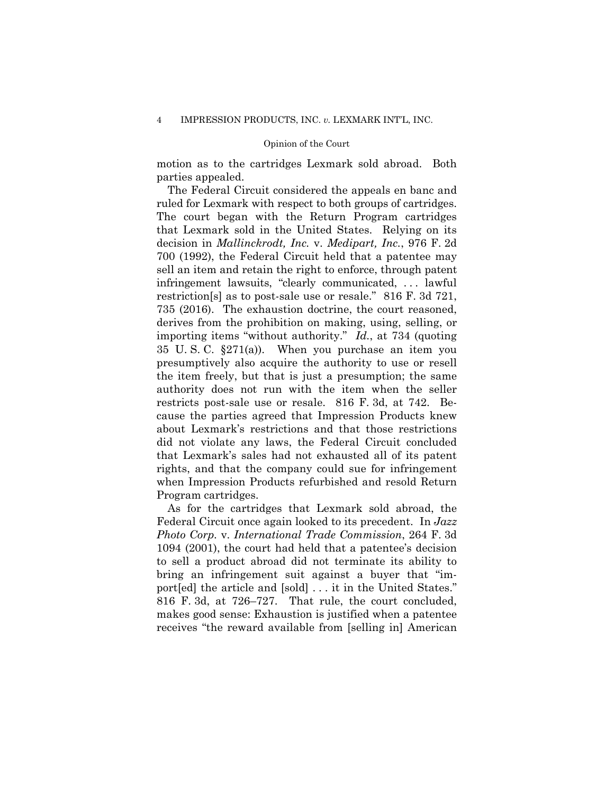motion as to the cartridges Lexmark sold abroad. Both parties appealed.

The Federal Circuit considered the appeals en banc and ruled for Lexmark with respect to both groups of cartridges. The court began with the Return Program cartridges that Lexmark sold in the United States. Relying on its decision in *Mallinckrodt, Inc.* v. *Medipart, Inc.*, 976 F. 2d 700 (1992), the Federal Circuit held that a patentee may sell an item and retain the right to enforce, through patent infringement lawsuits, "clearly communicated, . . . lawful restriction[s] as to post-sale use or resale." 816 F. 3d 721, 735 (2016). The exhaustion doctrine, the court reasoned, derives from the prohibition on making, using, selling, or importing items "without authority." *Id.*, at 734 (quoting 35 U. S. C. §271(a)). When you purchase an item you presumptively also acquire the authority to use or resell the item freely, but that is just a presumption; the same authority does not run with the item when the seller restricts post-sale use or resale. 816 F. 3d, at 742. Because the parties agreed that Impression Products knew about Lexmark's restrictions and that those restrictions did not violate any laws, the Federal Circuit concluded that Lexmark's sales had not exhausted all of its patent rights, and that the company could sue for infringement when Impression Products refurbished and resold Return Program cartridges.

As for the cartridges that Lexmark sold abroad, the Federal Circuit once again looked to its precedent. In *Jazz Photo Corp.* v. *International Trade Commission*, 264 F. 3d 1094 (2001), the court had held that a patentee's decision to sell a product abroad did not terminate its ability to bring an infringement suit against a buyer that "import[ed] the article and [sold] . . . it in the United States." 816 F. 3d, at 726–727. That rule, the court concluded, makes good sense: Exhaustion is justified when a patentee receives "the reward available from [selling in] American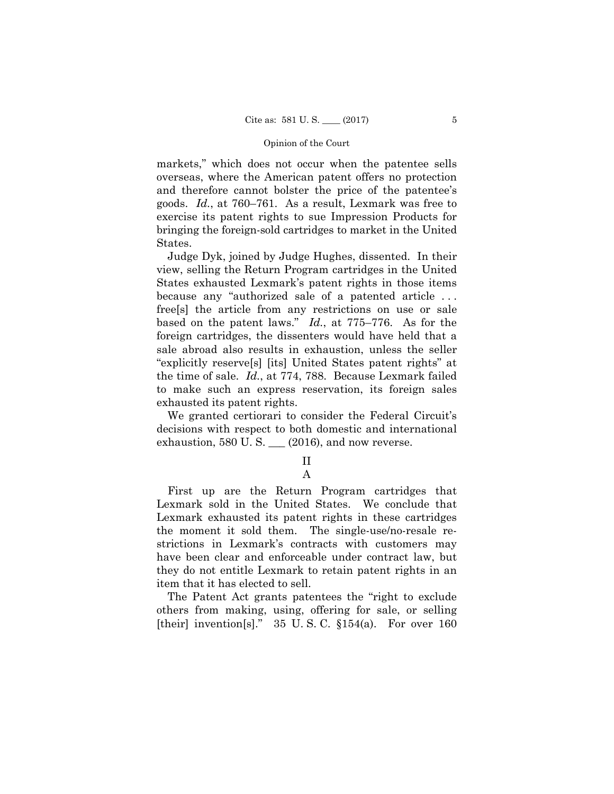markets," which does not occur when the patentee sells overseas, where the American patent offers no protection and therefore cannot bolster the price of the patentee's goods. *Id.*, at 760–761. As a result, Lexmark was free to exercise its patent rights to sue Impression Products for bringing the foreign-sold cartridges to market in the United States.

 the time of sale. *Id.*, at 774, 788. Because Lexmark failed Judge Dyk, joined by Judge Hughes, dissented. In their view, selling the Return Program cartridges in the United States exhausted Lexmark's patent rights in those items because any "authorized sale of a patented article . . . free[s] the article from any restrictions on use or sale based on the patent laws." *Id.*, at 775–776. As for the foreign cartridges, the dissenters would have held that a sale abroad also results in exhaustion, unless the seller "explicitly reserve[s] [its] United States patent rights" at to make such an express reservation, its foreign sales exhausted its patent rights.

We granted certiorari to consider the Federal Circuit's decisions with respect to both domestic and international exhaustion,  $580$  U. S.  $\_\_$  (2016), and now reverse.

# II A

First up are the Return Program cartridges that Lexmark sold in the United States. We conclude that Lexmark exhausted its patent rights in these cartridges the moment it sold them. The single-use/no-resale restrictions in Lexmark's contracts with customers may have been clear and enforceable under contract law, but they do not entitle Lexmark to retain patent rights in an item that it has elected to sell.

The Patent Act grants patentees the "right to exclude others from making, using, offering for sale, or selling [their] invention[s]." 35 U.S.C. §154(a). For over 160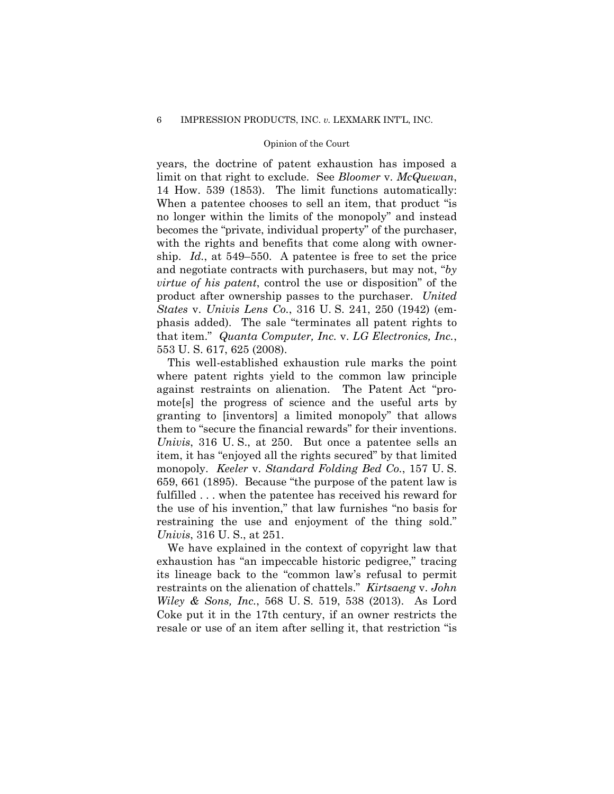years, the doctrine of patent exhaustion has imposed a limit on that right to exclude. See *Bloomer* v. *McQuewan*, 14 How. 539 (1853). The limit functions automatically: When a patentee chooses to sell an item, that product "is no longer within the limits of the monopoly" and instead becomes the "private, individual property" of the purchaser, with the rights and benefits that come along with ownership. *Id.*, at 549–550. A patentee is free to set the price and negotiate contracts with purchasers, but may not, "*by virtue of his patent*, control the use or disposition" of the product after ownership passes to the purchaser. *United States* v. *Univis Lens Co.*, 316 U. S. 241, 250 (1942) (emphasis added). The sale "terminates all patent rights to that item." *Quanta Computer, Inc.* v. *LG Electronics, Inc.*, 553 U. S. 617, 625 (2008).

This well-established exhaustion rule marks the point where patent rights yield to the common law principle against restraints on alienation. The Patent Act "promote[s] the progress of science and the useful arts by granting to [inventors] a limited monopoly" that allows them to "secure the financial rewards" for their inventions. *Univis*, 316 U. S., at 250. But once a patentee sells an item, it has "enjoyed all the rights secured" by that limited monopoly. *Keeler* v. *Standard Folding Bed Co.*, 157 U. S. 659, 661 (1895). Because "the purpose of the patent law is fulfilled . . . when the patentee has received his reward for the use of his invention," that law furnishes "no basis for restraining the use and enjoyment of the thing sold." *Univis*, 316 U. S., at 251.

We have explained in the context of copyright law that exhaustion has "an impeccable historic pedigree," tracing its lineage back to the "common law's refusal to permit restraints on the alienation of chattels." *Kirtsaeng* v. *John Wiley & Sons, Inc.*, 568 U. S. 519, 538 (2013). As Lord Coke put it in the 17th century, if an owner restricts the resale or use of an item after selling it, that restriction "is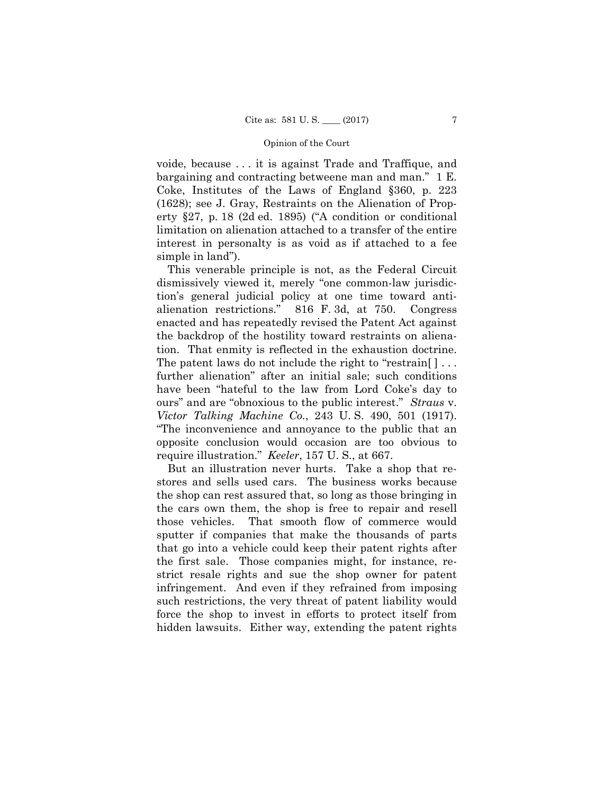voide, because . . . it is against Trade and Traffique, and bargaining and contracting betweene man and man." 1 E. Coke, Institutes of the Laws of England §360, p. 223 (1628); see J. Gray, Restraints on the Alienation of Property §27, p. 18 (2d ed. 1895) ("A condition or conditional limitation on alienation attached to a transfer of the entire interest in personalty is as void as if attached to a fee simple in land").

 tion. That enmity is reflected in the exhaustion doctrine. This venerable principle is not, as the Federal Circuit dismissively viewed it, merely "one common-law jurisdiction's general judicial policy at one time toward antialienation restrictions." 816 F. 3d, at 750. Congress enacted and has repeatedly revised the Patent Act against the backdrop of the hostility toward restraints on aliena-The patent laws do not include the right to "restrain [ ] ... further alienation" after an initial sale; such conditions have been "hateful to the law from Lord Coke's day to ours" and are "obnoxious to the public interest." *Straus* v. *Victor Talking Machine Co.*, 243 U. S. 490, 501 (1917). "The inconvenience and annoyance to the public that an opposite conclusion would occasion are too obvious to require illustration." *Keeler*, 157 U. S., at 667.

But an illustration never hurts. Take a shop that restores and sells used cars. The business works because the shop can rest assured that, so long as those bringing in the cars own them, the shop is free to repair and resell those vehicles. That smooth flow of commerce would sputter if companies that make the thousands of parts that go into a vehicle could keep their patent rights after the first sale. Those companies might, for instance, restrict resale rights and sue the shop owner for patent infringement. And even if they refrained from imposing such restrictions, the very threat of patent liability would force the shop to invest in efforts to protect itself from hidden lawsuits. Either way, extending the patent rights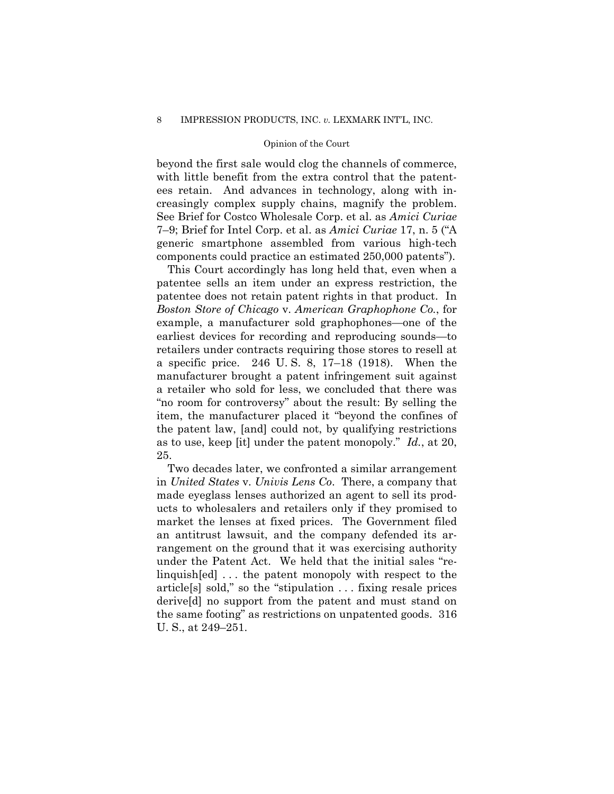beyond the first sale would clog the channels of commerce, with little benefit from the extra control that the patentees retain. And advances in technology, along with increasingly complex supply chains, magnify the problem. See Brief for Costco Wholesale Corp. et al. as *Amici Curiae*  7–9; Brief for Intel Corp. et al. as *Amici Curiae* 17, n. 5 ("A generic smartphone assembled from various high-tech components could practice an estimated 250,000 patents").

This Court accordingly has long held that, even when a patentee sells an item under an express restriction, the patentee does not retain patent rights in that product. In *Boston Store of Chicago* v. *American Graphophone Co.*, for example, a manufacturer sold graphophones—one of the earliest devices for recording and reproducing sounds—to retailers under contracts requiring those stores to resell at a specific price. 246 U. S. 8, 17–18 (1918). When the manufacturer brought a patent infringement suit against a retailer who sold for less, we concluded that there was "no room for controversy" about the result: By selling the item, the manufacturer placed it "beyond the confines of the patent law, [and] could not, by qualifying restrictions as to use, keep [it] under the patent monopoly." *Id.*, at 20, 25.

Two decades later, we confronted a similar arrangement in *United States* v. *Univis Lens Co*. There, a company that made eyeglass lenses authorized an agent to sell its products to wholesalers and retailers only if they promised to market the lenses at fixed prices. The Government filed an antitrust lawsuit, and the company defended its arrangement on the ground that it was exercising authority under the Patent Act. We held that the initial sales "relinquish[ed] . . . the patent monopoly with respect to the article[s] sold," so the "stipulation . . . fixing resale prices derive[d] no support from the patent and must stand on the same footing" as restrictions on unpatented goods. 316 U. S., at 249–251.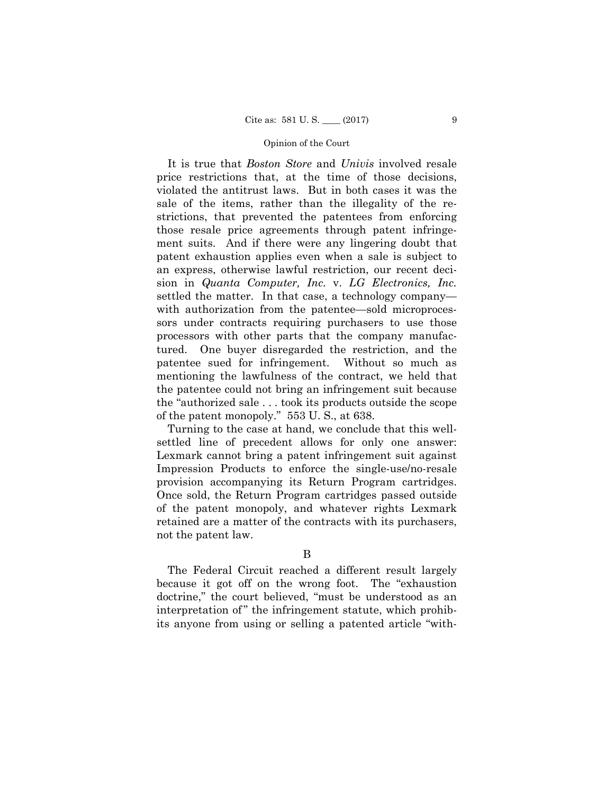It is true that *Boston Store* and *Univis* involved resale price restrictions that, at the time of those decisions, violated the antitrust laws. But in both cases it was the sale of the items, rather than the illegality of the restrictions, that prevented the patentees from enforcing those resale price agreements through patent infringement suits. And if there were any lingering doubt that patent exhaustion applies even when a sale is subject to an express, otherwise lawful restriction, our recent decision in *Quanta Computer, Inc.* v. *LG Electronics, Inc.*  settled the matter. In that case, a technology company with authorization from the patentee—sold microprocessors under contracts requiring purchasers to use those processors with other parts that the company manufactured. One buyer disregarded the restriction, and the patentee sued for infringement. Without so much as mentioning the lawfulness of the contract, we held that the patentee could not bring an infringement suit because the "authorized sale . . . took its products outside the scope of the patent monopoly." 553 U. S., at 638.

Turning to the case at hand, we conclude that this wellsettled line of precedent allows for only one answer: Lexmark cannot bring a patent infringement suit against Impression Products to enforce the single-use/no-resale provision accompanying its Return Program cartridges. Once sold, the Return Program cartridges passed outside of the patent monopoly, and whatever rights Lexmark retained are a matter of the contracts with its purchasers, not the patent law.

B

The Federal Circuit reached a different result largely because it got off on the wrong foot. The "exhaustion doctrine," the court believed, "must be understood as an interpretation of" the infringement statute, which prohibits anyone from using or selling a patented article "with-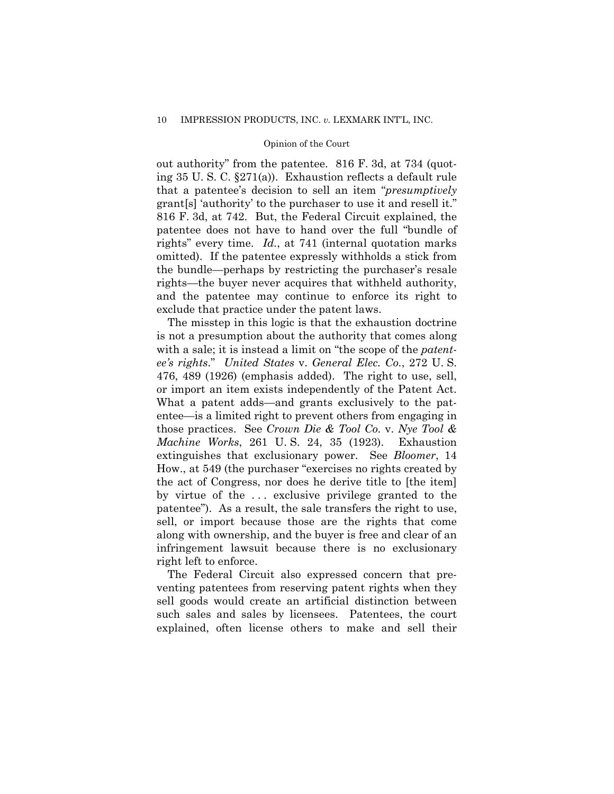out authority" from the patentee. 816 F. 3d, at 734 (quoting 35 U. S. C. §271(a)). Exhaustion reflects a default rule that a patentee's decision to sell an item "*presumptively* grant[s] 'authority' to the purchaser to use it and resell it." 816 F. 3d, at 742. But, the Federal Circuit explained, the patentee does not have to hand over the full "bundle of rights" every time. *Id.*, at 741 (internal quotation marks omitted). If the patentee expressly withholds a stick from the bundle—perhaps by restricting the purchaser's resale rights—the buyer never acquires that withheld authority, and the patentee may continue to enforce its right to exclude that practice under the patent laws.

The misstep in this logic is that the exhaustion doctrine is not a presumption about the authority that comes along with a sale; it is instead a limit on "the scope of the *patentee's rights*." *United States* v. *General Elec. Co.*, 272 U. S. 476, 489 (1926) (emphasis added). The right to use, sell, or import an item exists independently of the Patent Act. What a patent adds—and grants exclusively to the patentee—is a limited right to prevent others from engaging in those practices. See *Crown Die & Tool Co.* v. *Nye Tool & Machine Works*, 261 U. S. 24, 35 (1923). Exhaustion extinguishes that exclusionary power. See *Bloomer*, 14 How., at 549 (the purchaser "exercises no rights created by the act of Congress, nor does he derive title to [the item] by virtue of the . . . exclusive privilege granted to the patentee"). As a result, the sale transfers the right to use, sell, or import because those are the rights that come along with ownership, and the buyer is free and clear of an infringement lawsuit because there is no exclusionary right left to enforce.

 such sales and sales by licensees. Patentees, the court The Federal Circuit also expressed concern that preventing patentees from reserving patent rights when they sell goods would create an artificial distinction between explained, often license others to make and sell their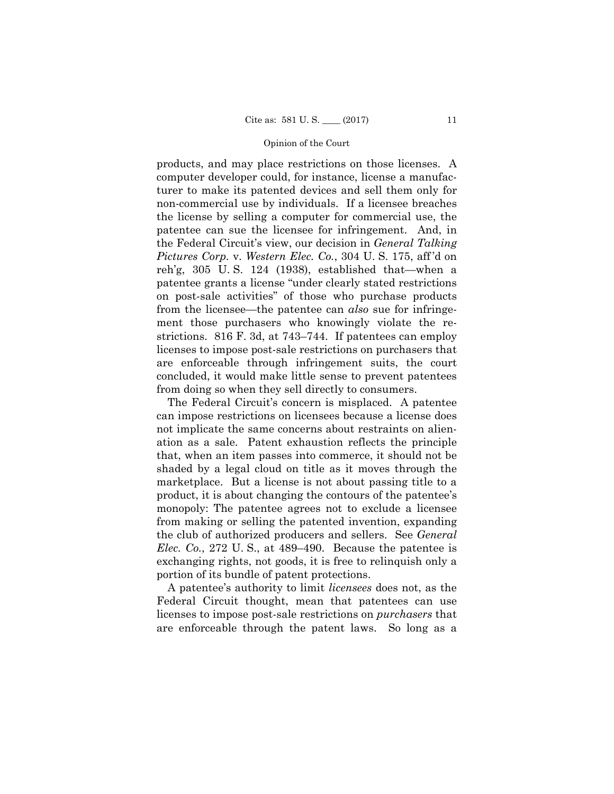products, and may place restrictions on those licenses. A computer developer could, for instance, license a manufacturer to make its patented devices and sell them only for non-commercial use by individuals. If a licensee breaches the license by selling a computer for commercial use, the patentee can sue the licensee for infringement. And, in the Federal Circuit's view, our decision in *General Talking Pictures Corp.* v. *Western Elec. Co.*, 304 U. S. 175, aff 'd on reh'g, 305 U. S. 124 (1938), established that—when a patentee grants a license "under clearly stated restrictions on post-sale activities" of those who purchase products from the licensee—the patentee can *also* sue for infringement those purchasers who knowingly violate the restrictions. 816 F. 3d, at 743–744. If patentees can employ licenses to impose post-sale restrictions on purchasers that are enforceable through infringement suits, the court concluded, it would make little sense to prevent patentees from doing so when they sell directly to consumers.

The Federal Circuit's concern is misplaced. A patentee can impose restrictions on licensees because a license does not implicate the same concerns about restraints on alienation as a sale. Patent exhaustion reflects the principle that, when an item passes into commerce, it should not be shaded by a legal cloud on title as it moves through the marketplace. But a license is not about passing title to a product, it is about changing the contours of the patentee's monopoly: The patentee agrees not to exclude a licensee from making or selling the patented invention, expanding the club of authorized producers and sellers. See *General Elec. Co.*, 272 U. S., at 489–490. Because the patentee is exchanging rights, not goods, it is free to relinquish only a portion of its bundle of patent protections.

A patentee's authority to limit *licensees* does not, as the Federal Circuit thought, mean that patentees can use licenses to impose post-sale restrictions on *purchasers* that are enforceable through the patent laws. So long as a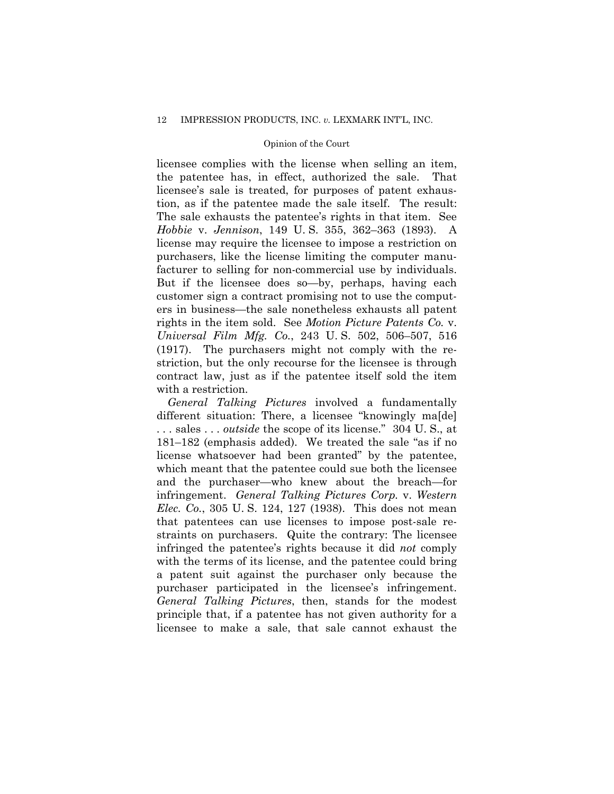licensee complies with the license when selling an item, the patentee has, in effect, authorized the sale. That licensee's sale is treated, for purposes of patent exhaustion, as if the patentee made the sale itself. The result: The sale exhausts the patentee's rights in that item. See *Hobbie* v. *Jennison*, 149 U. S. 355, 362–363 (1893). A license may require the licensee to impose a restriction on purchasers, like the license limiting the computer manufacturer to selling for non-commercial use by individuals. But if the licensee does so—by, perhaps, having each customer sign a contract promising not to use the computers in business—the sale nonetheless exhausts all patent rights in the item sold. See *Motion Picture Patents Co.* v. *Universal Film Mfg. Co.*, 243 U. S. 502, 506–507, 516 (1917). The purchasers might not comply with the restriction, but the only recourse for the licensee is through contract law, just as if the patentee itself sold the item with a restriction.

*General Talking Pictures* involved a fundamentally different situation: There, a licensee "knowingly maldel" . . . sales . . . *outside* the scope of its license." 304 U. S., at 181–182 (emphasis added). We treated the sale "as if no license whatsoever had been granted" by the patentee, which meant that the patentee could sue both the licensee and the purchaser—who knew about the breach—for infringement. *General Talking Pictures Corp.* v. *Western Elec. Co.*, 305 U. S. 124, 127 (1938). This does not mean that patentees can use licenses to impose post-sale restraints on purchasers. Quite the contrary: The licensee infringed the patentee's rights because it did *not* comply with the terms of its license, and the patentee could bring a patent suit against the purchaser only because the purchaser participated in the licensee's infringement. *General Talking Pictures*, then, stands for the modest principle that, if a patentee has not given authority for a licensee to make a sale, that sale cannot exhaust the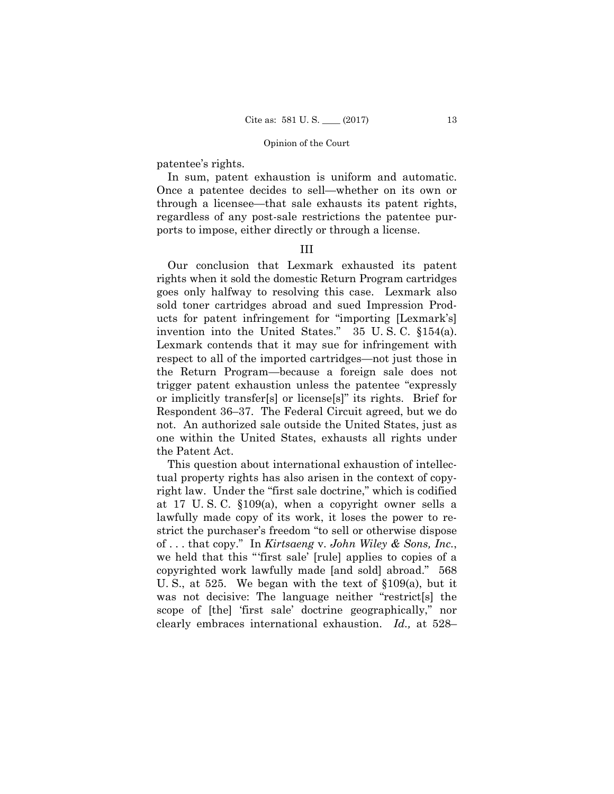patentee's rights.

In sum, patent exhaustion is uniform and automatic. Once a patentee decides to sell—whether on its own or through a licensee—that sale exhausts its patent rights, regardless of any post-sale restrictions the patentee purports to impose, either directly or through a license.

### III

Our conclusion that Lexmark exhausted its patent rights when it sold the domestic Return Program cartridges goes only halfway to resolving this case. Lexmark also sold toner cartridges abroad and sued Impression Products for patent infringement for "importing [Lexmark's] invention into the United States." 35 U. S. C. §154(a). Lexmark contends that it may sue for infringement with respect to all of the imported cartridges—not just those in the Return Program—because a foreign sale does not trigger patent exhaustion unless the patentee "expressly or implicitly transfer[s] or license[s]" its rights. Brief for Respondent 36–37. The Federal Circuit agreed, but we do not. An authorized sale outside the United States, just as one within the United States, exhausts all rights under the Patent Act.

This question about international exhaustion of intellectual property rights has also arisen in the context of copyright law. Under the "first sale doctrine," which is codified at 17 U. S. C. §109(a), when a copyright owner sells a lawfully made copy of its work, it loses the power to restrict the purchaser's freedom "to sell or otherwise dispose of . . . that copy." In *Kirtsaeng* v. *John Wiley & Sons, Inc.*, we held that this "'first sale' [rule] applies to copies of a copyrighted work lawfully made [and sold] abroad." 568 U. S., at 525. We began with the text of §109(a), but it was not decisive: The language neither "restrict[s] the scope of [the] 'first sale' doctrine geographically," nor clearly embraces international exhaustion. *Id.,* at 528–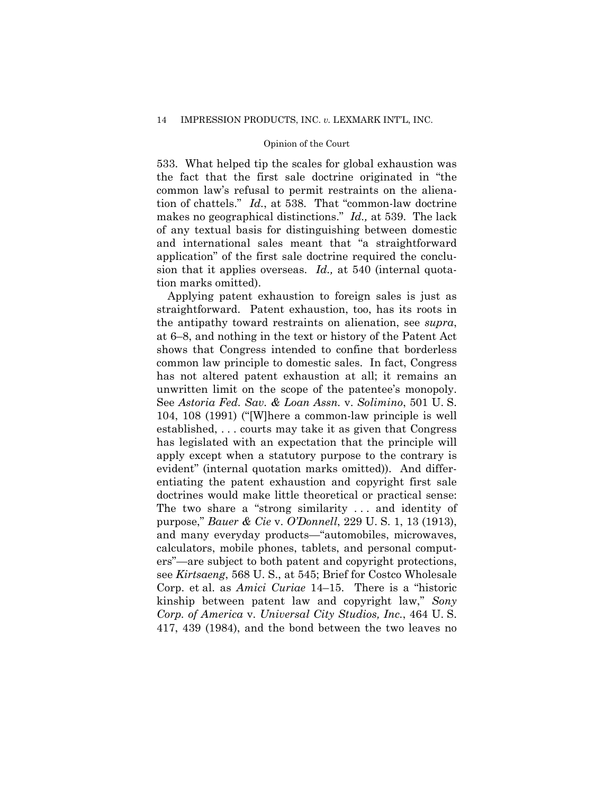533. What helped tip the scales for global exhaustion was the fact that the first sale doctrine originated in "the common law's refusal to permit restraints on the alienation of chattels." *Id.*, at 538. That "common-law doctrine makes no geographical distinctions." *Id.,* at 539. The lack of any textual basis for distinguishing between domestic and international sales meant that "a straightforward application" of the first sale doctrine required the conclusion that it applies overseas. *Id.,* at 540 (internal quotation marks omitted).

Applying patent exhaustion to foreign sales is just as straightforward. Patent exhaustion, too, has its roots in the antipathy toward restraints on alienation, see *supra*, at 6–8, and nothing in the text or history of the Patent Act shows that Congress intended to confine that borderless common law principle to domestic sales. In fact, Congress has not altered patent exhaustion at all; it remains an unwritten limit on the scope of the patentee's monopoly. See *Astoria Fed. Sav. & Loan Assn.* v. *Solimino*, 501 U. S. 104, 108 (1991) ("[W]here a common-law principle is well established, . . . courts may take it as given that Congress has legislated with an expectation that the principle will apply except when a statutory purpose to the contrary is evident" (internal quotation marks omitted)). And differentiating the patent exhaustion and copyright first sale doctrines would make little theoretical or practical sense: The two share a "strong similarity . . . and identity of purpose," *Bauer & Cie* v. *O'Donnell*, 229 U. S. 1, 13 (1913), and many everyday products—"automobiles, microwaves, calculators, mobile phones, tablets, and personal computers"—are subject to both patent and copyright protections, see *Kirtsaeng*, 568 U. S., at 545; Brief for Costco Wholesale Corp. et al. as *Amici Curiae* 14–15. There is a "historic kinship between patent law and copyright law," *Sony Corp. of America* v. *Universal City Studios, Inc.*, 464 U. S. 417, 439 (1984), and the bond between the two leaves no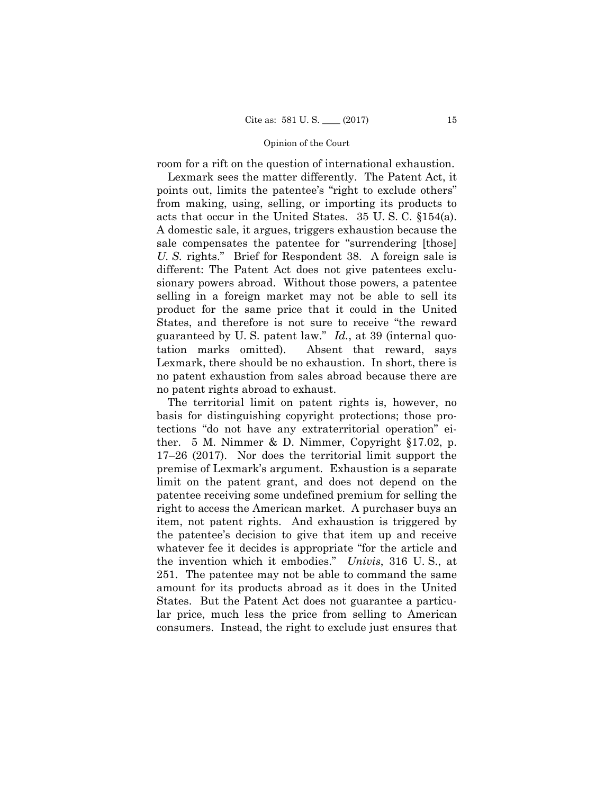room for a rift on the question of international exhaustion.

Lexmark sees the matter differently. The Patent Act, it points out, limits the patentee's "right to exclude others" from making, using, selling, or importing its products to acts that occur in the United States. 35 U. S. C. §154(a). A domestic sale, it argues, triggers exhaustion because the sale compensates the patentee for "surrendering [those] *U. S.* rights." Brief for Respondent 38. A foreign sale is different: The Patent Act does not give patentees exclusionary powers abroad. Without those powers, a patentee selling in a foreign market may not be able to sell its product for the same price that it could in the United States, and therefore is not sure to receive "the reward guaranteed by U. S. patent law." *Id.*, at 39 (internal quotation marks omitted). Absent that reward, says Lexmark, there should be no exhaustion. In short, there is no patent exhaustion from sales abroad because there are no patent rights abroad to exhaust.

 the invention which it embodies." *Univis*, 316 U. S., at The territorial limit on patent rights is, however, no basis for distinguishing copyright protections; those protections "do not have any extraterritorial operation" either. 5 M. Nimmer & D. Nimmer, Copyright §17.02, p. 17–26 (2017). Nor does the territorial limit support the premise of Lexmark's argument. Exhaustion is a separate limit on the patent grant, and does not depend on the patentee receiving some undefined premium for selling the right to access the American market. A purchaser buys an item, not patent rights. And exhaustion is triggered by the patentee's decision to give that item up and receive whatever fee it decides is appropriate "for the article and 251. The patentee may not be able to command the same amount for its products abroad as it does in the United States. But the Patent Act does not guarantee a particular price, much less the price from selling to American consumers. Instead, the right to exclude just ensures that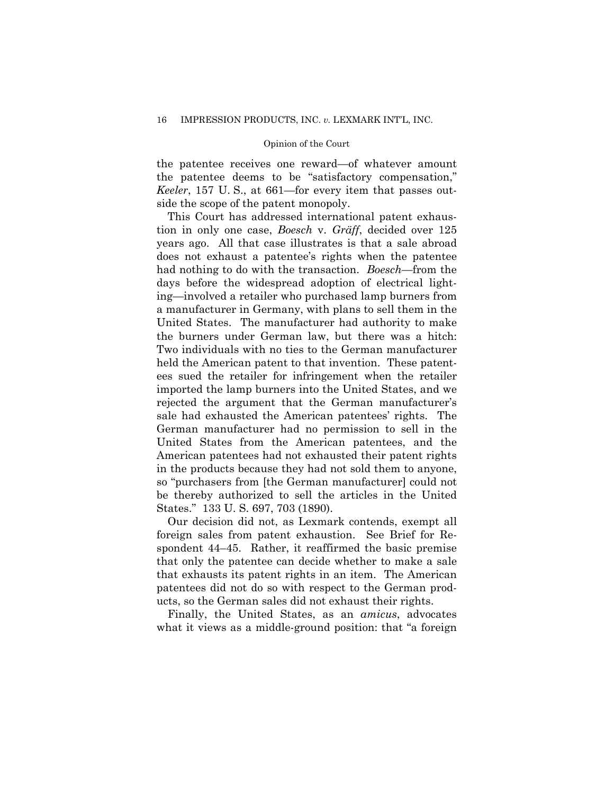the patentee receives one reward—of whatever amount the patentee deems to be "satisfactory compensation," *Keeler*, 157 U. S., at 661—for every item that passes outside the scope of the patent monopoly.

This Court has addressed international patent exhaustion in only one case, *Boesch* v. *Gräff*, decided over 125 years ago. All that case illustrates is that a sale abroad does not exhaust a patentee's rights when the patentee had nothing to do with the transaction. *Boesch*—from the days before the widespread adoption of electrical lighting—involved a retailer who purchased lamp burners from a manufacturer in Germany, with plans to sell them in the United States. The manufacturer had authority to make the burners under German law, but there was a hitch: Two individuals with no ties to the German manufacturer held the American patent to that invention. These patentees sued the retailer for infringement when the retailer imported the lamp burners into the United States, and we rejected the argument that the German manufacturer's sale had exhausted the American patentees' rights. The German manufacturer had no permission to sell in the United States from the American patentees, and the American patentees had not exhausted their patent rights in the products because they had not sold them to anyone, so "purchasers from [the German manufacturer] could not be thereby authorized to sell the articles in the United States." 133 U. S. 697, 703 (1890).

Our decision did not, as Lexmark contends, exempt all foreign sales from patent exhaustion. See Brief for Respondent 44–45. Rather, it reaffirmed the basic premise that only the patentee can decide whether to make a sale that exhausts its patent rights in an item. The American patentees did not do so with respect to the German products, so the German sales did not exhaust their rights.

Finally, the United States, as an *amicus*, advocates what it views as a middle-ground position: that "a foreign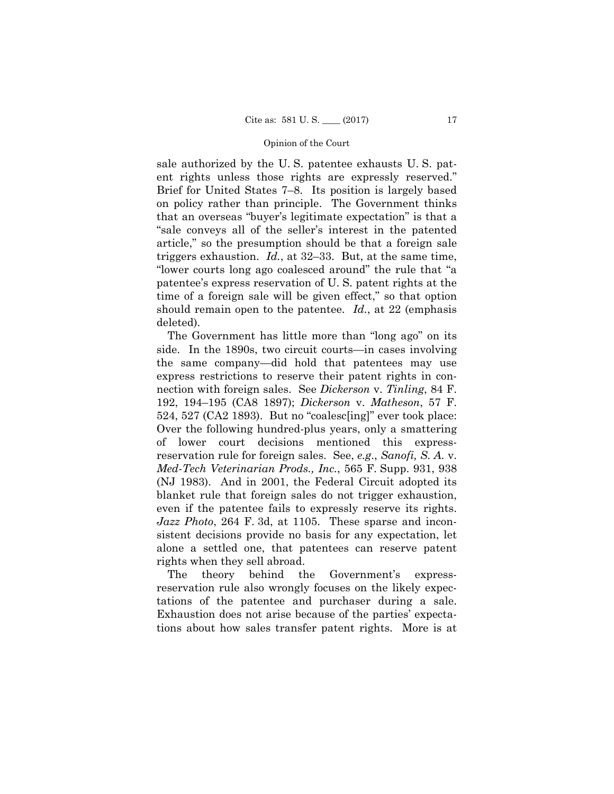sale authorized by the U. S. patentee exhausts U. S. patent rights unless those rights are expressly reserved." Brief for United States 7–8. Its position is largely based on policy rather than principle. The Government thinks that an overseas "buyer's legitimate expectation" is that a "sale conveys all of the seller's interest in the patented article," so the presumption should be that a foreign sale triggers exhaustion. *Id.*, at 32–33. But, at the same time, "lower courts long ago coalesced around" the rule that "a patentee's express reservation of U. S. patent rights at the time of a foreign sale will be given effect," so that option should remain open to the patentee. *Id.*, at 22 (emphasis deleted).

The Government has little more than "long ago" on its side. In the 1890s, two circuit courts—in cases involving the same company—did hold that patentees may use express restrictions to reserve their patent rights in connection with foreign sales. See *Dickerson* v. *Tinling*, 84 F. 192, 194–195 (CA8 1897); *Dickerson* v. *Matheson*, 57 F. 524, 527 (CA2 1893). But no "coalesc[ing]" ever took place: Over the following hundred-plus years, only a smattering of lower court decisions mentioned this expressreservation rule for foreign sales. See, *e.g*., *Sanofi, S. A.* v. *Med-Tech Veterinarian Prods., Inc.*, 565 F. Supp. 931, 938 (NJ 1983). And in 2001, the Federal Circuit adopted its blanket rule that foreign sales do not trigger exhaustion, even if the patentee fails to expressly reserve its rights. *Jazz Photo*, 264 F. 3d, at 1105. These sparse and inconsistent decisions provide no basis for any expectation, let alone a settled one, that patentees can reserve patent rights when they sell abroad.

The theory behind the Government's expressreservation rule also wrongly focuses on the likely expectations of the patentee and purchaser during a sale. Exhaustion does not arise because of the parties' expectations about how sales transfer patent rights. More is at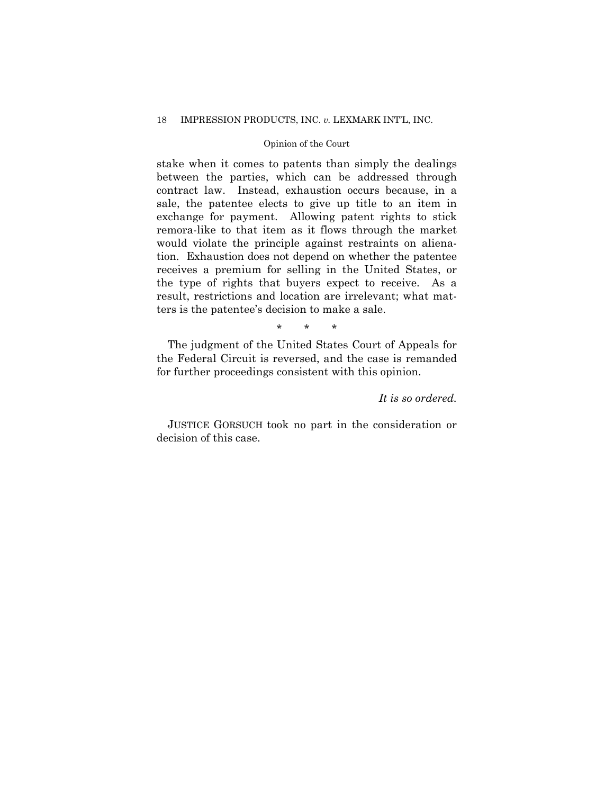### 18 IMPRESSION PRODUCTS, INC. *v.* LEXMARK INT'L, INC.

### Opinion of the Court

stake when it comes to patents than simply the dealings between the parties, which can be addressed through contract law. Instead, exhaustion occurs because, in a sale, the patentee elects to give up title to an item in exchange for payment. Allowing patent rights to stick remora-like to that item as it flows through the market would violate the principle against restraints on alienation. Exhaustion does not depend on whether the patentee receives a premium for selling in the United States, or the type of rights that buyers expect to receive. As a result, restrictions and location are irrelevant; what matters is the patentee's decision to make a sale.

\* \* \*

The judgment of the United States Court of Appeals for the Federal Circuit is reversed, and the case is remanded for further proceedings consistent with this opinion.

# *It is so ordered.*

 JUSTICE GORSUCH took no part in the consideration or decision of this case.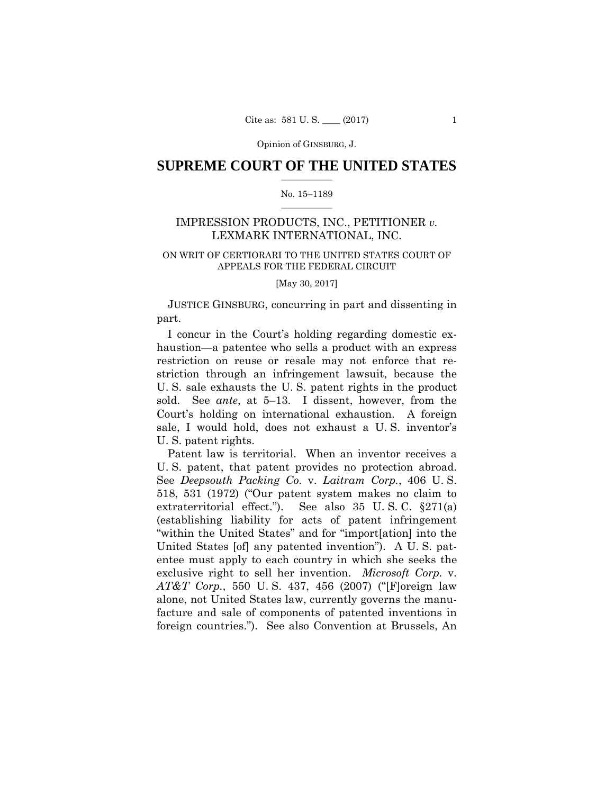Opinion of GINSBURG, J.

### $\frac{1}{2}$  , where  $\frac{1}{2}$ **SUPREME COURT OF THE UNITED STATES**

#### $\frac{1}{2}$  ,  $\frac{1}{2}$  ,  $\frac{1}{2}$  ,  $\frac{1}{2}$  ,  $\frac{1}{2}$  ,  $\frac{1}{2}$ No. 15–1189

# IMPRESSION PRODUCTS, INC., PETITIONER *v.*  LEXMARK INTERNATIONAL, INC.

# ON WRIT OF CERTIORARI TO THE UNITED STATES COURT OF APPEALS FOR THE FEDERAL CIRCUIT

[May 30, 2017]

JUSTICE GINSBURG, concurring in part and dissenting in part.

I concur in the Court's holding regarding domestic exhaustion—a patentee who sells a product with an express restriction on reuse or resale may not enforce that restriction through an infringement lawsuit, because the U. S. sale exhausts the U. S. patent rights in the product sold. See *ante*, at 5–13. I dissent, however, from the Court's holding on international exhaustion. A foreign sale, I would hold, does not exhaust a U. S. inventor's U. S. patent rights.

 U. S. patent, that patent provides no protection abroad. Patent law is territorial. When an inventor receives a See *Deepsouth Packing Co.* v. *Laitram Corp.*, 406 U. S. 518, 531 (1972) ("Our patent system makes no claim to extraterritorial effect."). See also 35 U. S. C. §271(a) (establishing liability for acts of patent infringement "within the United States" and for "import[ation] into the United States [of] any patented invention"). A U. S. patentee must apply to each country in which she seeks the exclusive right to sell her invention. *Microsoft Corp.* v. *AT&T Corp.*, 550 U. S. 437, 456 (2007) ("[F]oreign law alone, not United States law, currently governs the manufacture and sale of components of patented inventions in foreign countries."). See also Convention at Brussels, An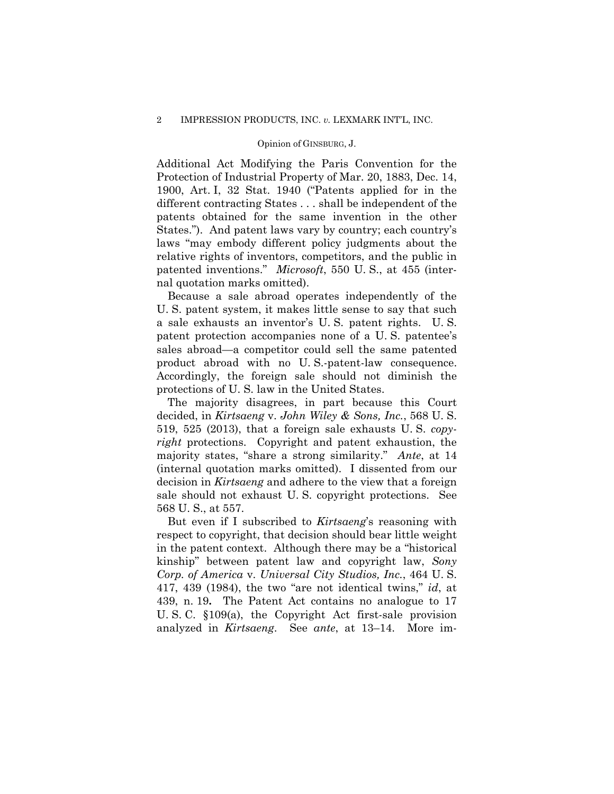#### Opinion of GINSBURG, J.

Additional Act Modifying the Paris Convention for the Protection of Industrial Property of Mar. 20, 1883, Dec. 14, 1900, Art. I, 32 Stat. 1940 ("Patents applied for in the different contracting States . . . shall be independent of the patents obtained for the same invention in the other States."). And patent laws vary by country; each country's laws "may embody different policy judgments about the relative rights of inventors, competitors, and the public in patented inventions." *Microsoft*, 550 U. S., at 455 (internal quotation marks omitted).

 product abroad with no U. S.-patent-law consequence. Accordingly, the foreign sale should not diminish the Because a sale abroad operates independently of the U. S. patent system, it makes little sense to say that such a sale exhausts an inventor's U. S. patent rights. U. S. patent protection accompanies none of a U. S. patentee's sales abroad—a competitor could sell the same patented protections of U. S. law in the United States.

The majority disagrees, in part because this Court decided, in *Kirtsaeng* v. *John Wiley & Sons, Inc.*, 568 U. S. 519, 525 (2013), that a foreign sale exhausts U. S. *copyright* protections. Copyright and patent exhaustion, the majority states, "share a strong similarity." *Ante*, at 14 (internal quotation marks omitted). I dissented from our decision in *Kirtsaeng* and adhere to the view that a foreign sale should not exhaust U. S. copyright protections. See 568 U. S., at 557.

But even if I subscribed to *Kirtsaeng*'s reasoning with respect to copyright, that decision should bear little weight in the patent context. Although there may be a "historical kinship" between patent law and copyright law, *Sony Corp. of America* v. *Universal City Studios, Inc.*, 464 U. S. 417, 439 (1984), the two "are not identical twins," *id*, at 439, n. 19**.** The Patent Act contains no analogue to 17 U. S. C. §109(a), the Copyright Act first-sale provision analyzed in *Kirtsaeng*. See *ante*, at 13–14. More im-